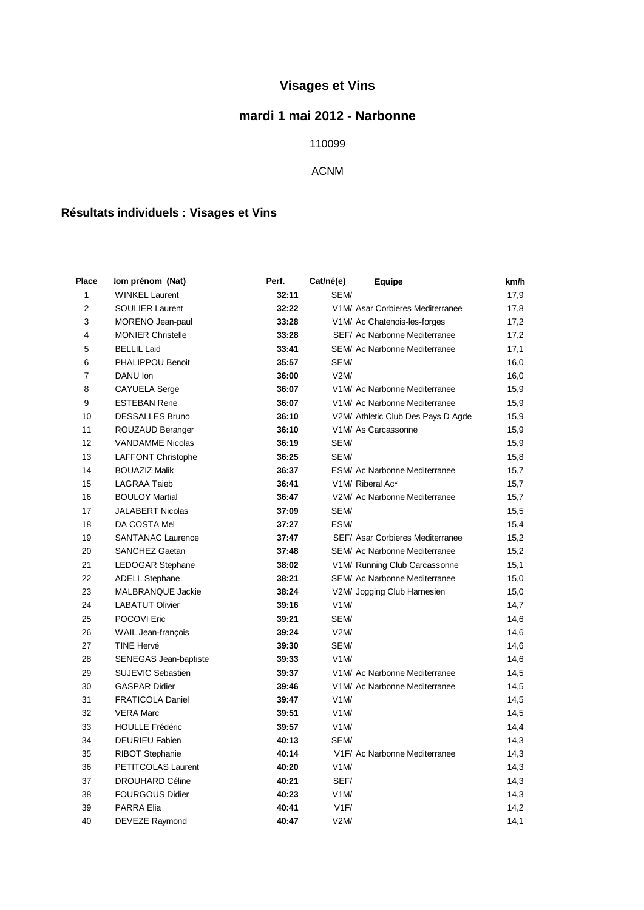# **Visages et Vins**

### **mardi 1 mai 2012 - Narbonne**

#### 

#### ACNM

## **Résultats individuels : Visages et Vins**

| Place          | Iom prénom (Nat)             | Perf. | Cat/né(e) | <b>Equipe</b>                      | km/h |
|----------------|------------------------------|-------|-----------|------------------------------------|------|
| 1              | <b>WINKEL Laurent</b>        | 32:11 | SEM/      |                                    | 17,9 |
| $\overline{2}$ | <b>SOULIER Laurent</b>       | 32:22 |           | V1M/ Asar Corbieres Mediterranee   | 17,8 |
| 3              | MORENO Jean-paul             | 33:28 |           | V1M/ Ac Chatenois-les-forges       | 17,2 |
| $\overline{4}$ | <b>MONIER Christelle</b>     | 33:28 |           | SEF/ Ac Narbonne Mediterranee      | 17,2 |
| 5              | <b>BELLIL Laid</b>           | 33:41 |           | SEM/ Ac Narbonne Mediterranee      | 17,1 |
| 6              | PHALIPPOU Benoit             | 35:57 | SEM/      |                                    | 16,0 |
| $\overline{7}$ | DANU Ion                     | 36:00 | V2M/      |                                    | 16,0 |
| 8              | <b>CAYUELA Serge</b>         | 36:07 |           | V1M/ Ac Narbonne Mediterranee      | 15,9 |
| 9              | <b>ESTEBAN Rene</b>          | 36:07 |           | V1M/ Ac Narbonne Mediterranee      | 15,9 |
| 10             | <b>DESSALLES Bruno</b>       | 36:10 |           | V2M/ Athletic Club Des Pays D Agde | 15,9 |
| 11             | ROUZAUD Beranger             | 36:10 |           | V1M/ As Carcassonne                | 15,9 |
| 12             | <b>VANDAMME Nicolas</b>      | 36:19 | SEM/      |                                    | 15,9 |
| 13             | <b>LAFFONT Christophe</b>    | 36:25 | SEM/      |                                    | 15,8 |
| 14             | <b>BOUAZIZ Malik</b>         | 36:37 |           | ESM/ Ac Narbonne Mediterranee      | 15,7 |
| 15             | <b>LAGRAA Taieb</b>          | 36:41 |           | V1M/ Riberal Ac*                   | 15,7 |
| 16             | <b>BOULOY Martial</b>        | 36:47 |           | V2M/ Ac Narbonne Mediterranee      | 15,7 |
| 17             | JALABERT Nicolas             | 37:09 | SEM/      |                                    | 15,5 |
| 18             | DA COSTA Mel                 | 37:27 | ESM/      |                                    | 15,4 |
| 19             | <b>SANTANAC Laurence</b>     | 37:47 |           | SEF/ Asar Corbieres Mediterranee   | 15,2 |
| 20             | <b>SANCHEZ Gaetan</b>        | 37:48 |           | SEM/ Ac Narbonne Mediterranee      | 15,2 |
| 21             | <b>LEDOGAR Stephane</b>      | 38:02 |           | V1M/ Running Club Carcassonne      | 15,1 |
| 22             | <b>ADELL Stephane</b>        | 38:21 |           | SEM/ Ac Narbonne Mediterranee      | 15,0 |
| 23             | <b>MALBRANQUE Jackie</b>     | 38:24 |           | V2M/ Jogging Club Harnesien        | 15,0 |
| 24             | <b>LABATUT Olivier</b>       | 39:16 | V1M/      |                                    | 14,7 |
| 25             | POCOVI Eric                  | 39:21 | SEM/      |                                    | 14,6 |
| 26             | WAIL Jean-françois           | 39:24 | V2M/      |                                    | 14,6 |
| 27             | <b>TINE Hervé</b>            | 39:30 | SEM/      |                                    | 14,6 |
| 28             | <b>SENEGAS Jean-baptiste</b> | 39:33 | V1M/      |                                    | 14,6 |
| 29             | <b>SUJEVIC Sebastien</b>     | 39:37 |           | V1M/ Ac Narbonne Mediterranee      | 14,5 |
| 30             | <b>GASPAR Didier</b>         | 39:46 |           | V1M/ Ac Narbonne Mediterranee      | 14,5 |
| 31             | <b>FRATICOLA Daniel</b>      | 39:47 | V1M/      |                                    | 14,5 |
| 32             | <b>VERA Marc</b>             | 39:51 | V1M/      |                                    | 14,5 |
| 33             | <b>HOULLE Frédéric</b>       | 39:57 | V1M/      |                                    | 14,4 |
| 34             | <b>DEURIEU Fabien</b>        | 40:13 | SEM/      |                                    | 14,3 |
| 35             | <b>RIBOT Stephanie</b>       | 40:14 |           | V1F/ Ac Narbonne Mediterranee      | 14,3 |
| 36             | PETITCOLAS Laurent           | 40:20 | V1M/      |                                    | 14,3 |
| 37             | <b>DROUHARD Céline</b>       | 40:21 | SEF/      |                                    | 14,3 |
| 38             | <b>FOURGOUS Didier</b>       | 40:23 | V1M/      |                                    | 14,3 |
| 39             | <b>PARRA Elia</b>            | 40:41 | V1F/      |                                    | 14,2 |
| 40             | <b>DEVEZE Raymond</b>        | 40:47 | V2M/      |                                    | 14,1 |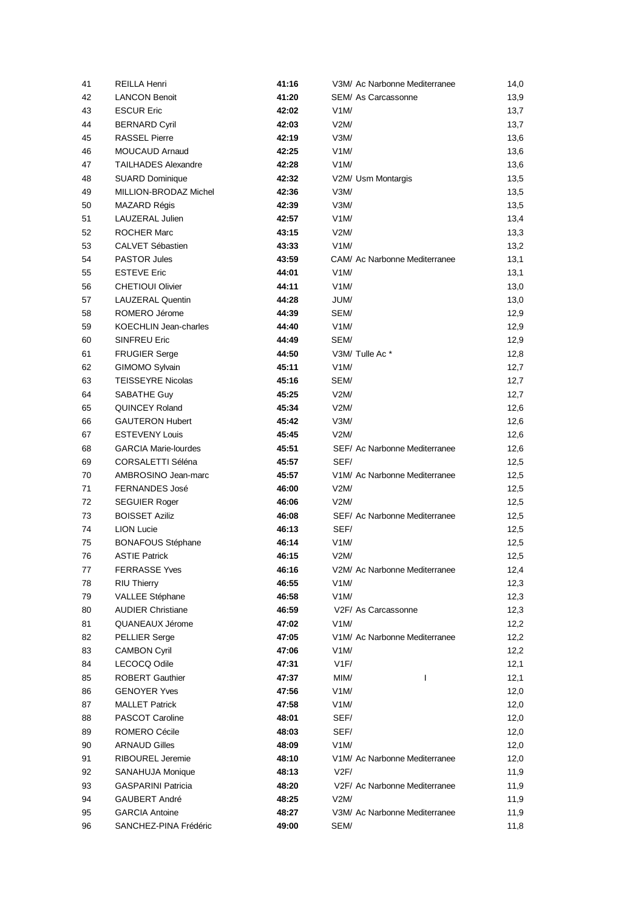| 41 | <b>REILLA Henri</b>          | 41:16 | V3M/ Ac Narbonne Mediterranee | 14,0 |
|----|------------------------------|-------|-------------------------------|------|
| 42 | <b>LANCON Benoit</b>         | 41:20 | SEM/ As Carcassonne           | 13,9 |
| 43 | <b>ESCUR Eric</b>            | 42:02 | V1M/                          | 13,7 |
| 44 | <b>BERNARD Cyril</b>         | 42:03 | V2M/                          | 13,7 |
| 45 | <b>RASSEL Pierre</b>         | 42:19 | V3M/                          | 13,6 |
| 46 | <b>MOUCAUD Arnaud</b>        | 42:25 | V1M/                          | 13,6 |
| 47 | TAILHADES Alexandre          | 42:28 | V1M/                          | 13,6 |
| 48 | <b>SUARD Dominique</b>       | 42:32 | V2M/ Usm Montargis            | 13,5 |
| 49 | MILLION-BRODAZ Michel        | 42:36 | V3M/                          | 13,5 |
| 50 | MAZARD Régis                 | 42:39 | V3M/                          | 13,5 |
| 51 | LAUZERAL Julien              | 42:57 | V1M/                          | 13,4 |
| 52 | <b>ROCHER Marc</b>           | 43:15 | V2M/                          | 13,3 |
| 53 | CALVET Sébastien             | 43:33 | V1M/                          | 13,2 |
| 54 | <b>PASTOR Jules</b>          | 43:59 | CAM/ Ac Narbonne Mediterranee | 13,1 |
| 55 | <b>ESTEVE Eric</b>           | 44:01 | V1M/                          | 13,1 |
| 56 | <b>CHETIOUI Olivier</b>      | 44:11 | V1M/                          | 13,0 |
| 57 | LAUZERAL Quentin             | 44:28 | JUM/                          | 13,0 |
| 58 | ROMERO Jérome                | 44:39 | SEM/                          | 12,9 |
| 59 | <b>KOECHLIN Jean-charles</b> | 44:40 | V1M/                          | 12,9 |
| 60 | <b>SINFREU Eric</b>          | 44:49 | SEM/                          | 12,9 |
| 61 | <b>FRUGIER Serge</b>         | 44:50 | V3M/ Tulle Ac*                | 12,8 |
| 62 | GIMOMO Sylvain               | 45:11 | V1M/                          | 12,7 |
| 63 | <b>TEISSEYRE Nicolas</b>     | 45:16 | SEM/                          | 12,7 |
| 64 | SABATHE Guy                  | 45:25 | V2M/                          | 12,7 |
| 65 | <b>QUINCEY Roland</b>        | 45:34 | V2M/                          | 12,6 |
| 66 | <b>GAUTERON Hubert</b>       | 45:42 | V3M/                          | 12,6 |
| 67 | <b>ESTEVENY Louis</b>        | 45:45 | V2M/                          | 12,6 |
| 68 | <b>GARCIA Marie-lourdes</b>  | 45:51 | SEF/ Ac Narbonne Mediterranee | 12,6 |
| 69 | CORSALETTI Séléna            | 45:57 | SEF/                          | 12,5 |
| 70 | AMBROSINO Jean-marc          | 45:57 | V1M/ Ac Narbonne Mediterranee | 12,5 |
| 71 | FERNANDES José               | 46:00 | V2M/                          | 12,5 |
| 72 | <b>SEGUIER Roger</b>         | 46:06 | V2M/                          | 12,5 |
| 73 | <b>BOISSET Aziliz</b>        | 46:08 | SEF/ Ac Narbonne Mediterranee | 12,5 |
| 74 | <b>LION Lucie</b>            | 46:13 | SEF/                          | 12,5 |
| 75 | <b>BONAFOUS Stéphane</b>     | 46:14 | V1M/                          | 12,5 |
| 76 | <b>ASTIE Patrick</b>         | 46:15 | V2M/                          | 12,5 |
| 77 | <b>FERRASSE Yves</b>         | 46:16 | V2M/ Ac Narbonne Mediterranee | 12,4 |
| 78 | <b>RIU Thierry</b>           | 46:55 | V1M/                          | 12,3 |
| 79 | VALLEE Stéphane              | 46:58 | V1M/                          | 12,3 |
| 80 | <b>AUDIER Christiane</b>     | 46:59 | V2F/ As Carcassonne           | 12,3 |
| 81 | QUANEAUX Jérome              | 47:02 | V1M/                          | 12,2 |
| 82 | <b>PELLIER Serge</b>         | 47:05 | V1M/ Ac Narbonne Mediterranee | 12,2 |
| 83 | <b>CAMBON Cyril</b>          | 47:06 | V1M/                          | 12,2 |
| 84 | <b>LECOCQ Odile</b>          | 47:31 | V1F/                          | 12,1 |
| 85 | <b>ROBERT Gauthier</b>       | 47:37 | MIM/<br>I                     | 12,1 |
| 86 | <b>GENOYER Yves</b>          | 47:56 | V1M/                          | 12,0 |
| 87 | <b>MALLET Patrick</b>        | 47:58 | V1M/                          | 12,0 |
| 88 | PASCOT Caroline              | 48:01 | SEF/                          | 12,0 |
| 89 | ROMERO Cécile                | 48:03 | SEF/                          | 12,0 |
| 90 | <b>ARNAUD Gilles</b>         | 48:09 | V1M/                          | 12,0 |
| 91 | RIBOUREL Jeremie             | 48:10 | V1M/ Ac Narbonne Mediterranee | 12,0 |
| 92 | SANAHUJA Monique             | 48:13 | V2F/                          | 11,9 |
| 93 | <b>GASPARINI Patricia</b>    | 48:20 | V2F/ Ac Narbonne Mediterranee | 11,9 |
| 94 | <b>GAUBERT André</b>         | 48:25 | V2M/                          | 11,9 |
| 95 | <b>GARCIA Antoine</b>        | 48:27 | V3M/ Ac Narbonne Mediterranee | 11,9 |
| 96 | SANCHEZ-PINA Frédéric        | 49:00 | SEM/                          | 11,8 |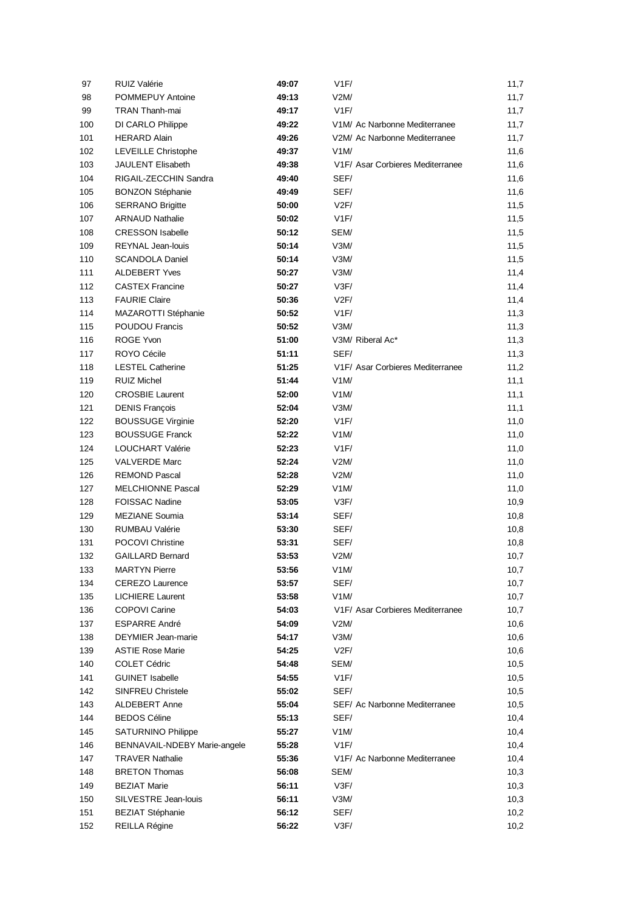| 97  | RUIZ Valérie                 | 49:07 | V1F/                                       | 11,7 |
|-----|------------------------------|-------|--------------------------------------------|------|
| 98  | POMMEPUY Antoine             | 49:13 | V2M/                                       | 11,7 |
| 99  | <b>TRAN Thanh-mai</b>        | 49:17 | V1F/                                       | 11,7 |
| 100 | DI CARLO Philippe            | 49:22 | V1M/ Ac Narbonne Mediterranee              | 11,7 |
| 101 | <b>HERARD Alain</b>          | 49:26 | V2M/ Ac Narbonne Mediterranee              | 11,7 |
| 102 | LEVEILLE Christophe          | 49:37 | V1M/                                       | 11,6 |
| 103 | JAULENT Elisabeth            | 49:38 | V1F/ Asar Corbieres Mediterranee           | 11,6 |
| 104 | RIGAIL-ZECCHIN Sandra        | 49:40 | SEF/                                       | 11,6 |
| 105 | <b>BONZON Stéphanie</b>      | 49:49 | SEF/                                       | 11,6 |
| 106 | <b>SERRANO Brigitte</b>      | 50:00 | V2F/                                       | 11,5 |
| 107 | <b>ARNAUD Nathalie</b>       | 50:02 | V1F/                                       | 11,5 |
| 108 | <b>CRESSON Isabelle</b>      | 50:12 | SEM/                                       | 11,5 |
| 109 | <b>REYNAL Jean-louis</b>     | 50:14 | V3M/                                       | 11,5 |
| 110 | <b>SCANDOLA Daniel</b>       | 50:14 | V3M/                                       | 11,5 |
| 111 | <b>ALDEBERT Yves</b>         | 50:27 | V3M/                                       | 11,4 |
| 112 | <b>CASTEX Francine</b>       | 50:27 | V3F/                                       | 11,4 |
| 113 | <b>FAURIE Claire</b>         | 50:36 | V2F/                                       | 11,4 |
| 114 | MAZAROTTI Stéphanie          | 50:52 | V1F/                                       | 11,3 |
| 115 | <b>POUDOU Francis</b>        | 50:52 | V3M/                                       | 11,3 |
| 116 | ROGE Yvon                    | 51:00 | V3M/ Riberal Ac*                           | 11,3 |
| 117 | ROYO Cécile                  | 51:11 | SEF/                                       | 11,3 |
| 118 | <b>LESTEL Catherine</b>      | 51:25 | V1F/ Asar Corbieres Mediterranee           | 11,2 |
| 119 | <b>RUIZ Michel</b>           | 51:44 | V1M/                                       | 11,1 |
| 120 | <b>CROSBIE Laurent</b>       | 52:00 | V1M/                                       | 11,1 |
| 121 | <b>DENIS François</b>        | 52:04 | V3M/                                       | 11,1 |
| 122 | <b>BOUSSUGE Virginie</b>     | 52:20 | V1F/                                       | 11,0 |
| 123 | <b>BOUSSUGE Franck</b>       | 52:22 | V1M/                                       | 11,0 |
| 124 | LOUCHART Valérie             | 52:23 | V1F/                                       | 11,0 |
| 125 | <b>VALVERDE Marc</b>         | 52:24 | V2M/                                       | 11,0 |
| 126 | <b>REMOND Pascal</b>         | 52:28 | V2M/                                       | 11,0 |
| 127 | <b>MELCHIONNE Pascal</b>     | 52:29 | V1M/                                       | 11,0 |
| 128 | <b>FOISSAC Nadine</b>        | 53:05 | V3F/                                       | 10,9 |
| 129 | <b>MEZIANE Soumia</b>        | 53:14 | SEF/                                       | 10,8 |
| 130 | <b>RUMBAU Valérie</b>        | 53:30 | SEF/                                       | 10,8 |
| 131 | <b>POCOVI Christine</b>      | 53:31 | SEF/                                       | 10,8 |
| 132 | <b>GAILLARD Bernard</b>      | 53:53 | V2M/                                       | 10,7 |
| 133 | <b>MARTYN Pierre</b>         | 53:56 | V1M/                                       | 10,7 |
| 134 | <b>CEREZO Laurence</b>       | 53:57 | SEF/                                       | 10,7 |
| 135 | <b>LICHIERE</b> Laurent      | 53:58 | V1M/                                       | 10,7 |
| 136 | <b>COPOVI Carine</b>         | 54:03 | V1F/ Asar Corbieres Mediterranee           | 10,7 |
| 137 | <b>ESPARRE André</b>         | 54:09 | V2M/                                       | 10,6 |
| 138 | DEYMIER Jean-marie           | 54:17 | V3M/                                       | 10,6 |
| 139 | <b>ASTIE Rose Marie</b>      | 54:25 | V2F/                                       | 10,6 |
| 140 | <b>COLET Cédric</b>          | 54:48 | SEM/                                       | 10,5 |
| 141 | <b>GUINET Isabelle</b>       | 54:55 | V1F/                                       | 10,5 |
| 142 | <b>SINFREU Christele</b>     | 55:02 | SEF/                                       | 10,5 |
| 143 | ALDEBERT Anne                | 55:04 | SEF/ Ac Narbonne Mediterranee              | 10,5 |
| 144 | <b>BEDOS Céline</b>          | 55:13 | SEF/                                       | 10,4 |
| 145 | <b>SATURNINO Philippe</b>    | 55:27 | V1M/                                       | 10,4 |
| 146 | BENNAVAIL-NDEBY Marie-angele | 55:28 | V1F/                                       | 10,4 |
| 147 | <b>TRAVER Nathalie</b>       | 55:36 | V <sub>1</sub> F/ Ac Narbonne Mediterranee | 10,4 |
| 148 | <b>BRETON Thomas</b>         | 56:08 | SEM/                                       | 10,3 |
| 149 | <b>BEZIAT Marie</b>          | 56:11 | V3F/                                       | 10,3 |
| 150 | SILVESTRE Jean-louis         | 56:11 | V3M/                                       | 10,3 |
| 151 | <b>BEZIAT Stéphanie</b>      | 56:12 | SEF/                                       | 10,2 |
| 152 | REILLA Régine                | 56:22 | V3F/                                       | 10,2 |
|     |                              |       |                                            |      |